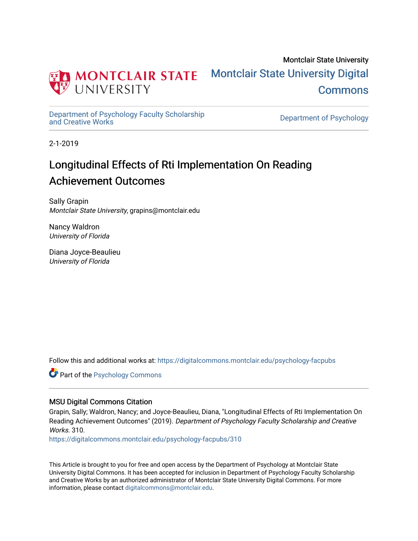

Montclair State University [Montclair State University Digital](https://digitalcommons.montclair.edu/)  **Commons** 

[Department of Psychology Faculty Scholarship](https://digitalcommons.montclair.edu/psychology-facpubs) 

Department of Psychology

2-1-2019

# Longitudinal Effects of Rti Implementation On Reading Achievement Outcomes

Sally Grapin Montclair State University, grapins@montclair.edu

Nancy Waldron University of Florida

Diana Joyce-Beaulieu University of Florida

Follow this and additional works at: [https://digitalcommons.montclair.edu/psychology-facpubs](https://digitalcommons.montclair.edu/psychology-facpubs?utm_source=digitalcommons.montclair.edu%2Fpsychology-facpubs%2F310&utm_medium=PDF&utm_campaign=PDFCoverPages) 

**C** Part of the Psychology Commons

## MSU Digital Commons Citation

Grapin, Sally; Waldron, Nancy; and Joyce-Beaulieu, Diana, "Longitudinal Effects of Rti Implementation On Reading Achievement Outcomes" (2019). Department of Psychology Faculty Scholarship and Creative Works. 310

[https://digitalcommons.montclair.edu/psychology-facpubs/310](https://digitalcommons.montclair.edu/psychology-facpubs/310?utm_source=digitalcommons.montclair.edu%2Fpsychology-facpubs%2F310&utm_medium=PDF&utm_campaign=PDFCoverPages) 

This Article is brought to you for free and open access by the Department of Psychology at Montclair State University Digital Commons. It has been accepted for inclusion in Department of Psychology Faculty Scholarship and Creative Works by an authorized administrator of Montclair State University Digital Commons. For more information, please contact [digitalcommons@montclair.edu](mailto:digitalcommons@montclair.edu).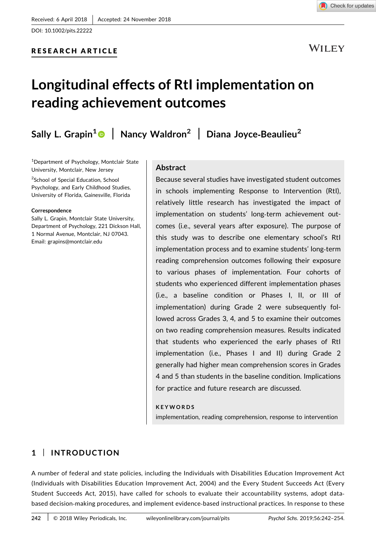

WILEY

# Longitudinal effects of RtI implementation on reading achievement outcomes

Sally L. Grapin<sup>1</sup> | Nancy Waldron<sup>2</sup> | Diana Joyce-Beaulieu<sup>2</sup>

<sup>1</sup>Department of Psychology, Montclair State University, Montclair, New Jersey

<sup>2</sup>School of Special Education, School Psychology, and Early Childhood Studies, University of Florida, Gainesville, Florida

#### Correspondence

Sally L. Grapin, Montclair State University, Department of Psychology, 221 Dickson Hall, 1 Normal Avenue, Montclair, NJ 07043. Email: grapins@montclair.edu

### Abstract

Because several studies have investigated student outcomes in schools implementing Response to Intervention (RtI), relatively little research has investigated the impact of implementation on students' long‐term achievement outcomes (i.e., several years after exposure). The purpose of this study was to describe one elementary school's RtI implementation process and to examine students' long‐term reading comprehension outcomes following their exposure to various phases of implementation. Four cohorts of students who experienced different implementation phases (i.e., a baseline condition or Phases I, II, or III of implementation) during Grade 2 were subsequently followed across Grades 3, 4, and 5 to examine their outcomes on two reading comprehension measures. Results indicated that students who experienced the early phases of RtI implementation (i.e., Phases I and II) during Grade 2 generally had higher mean comprehension scores in Grades 4 and 5 than students in the baseline condition. Implications for practice and future research are discussed.

#### **KEYWORDS**

implementation, reading comprehension, response to intervention

## 1 | INTRODUCTION

A number of federal and state policies, including the Individuals with Disabilities Education Improvement Act (Individuals with Disabilities Education Improvement Act, 2004) and the Every Student Succeeds Act (Every Student Succeeds Act, 2015), have called for schools to evaluate their accountability systems, adopt databased decision‐making procedures, and implement evidence‐based instructional practices. In response to these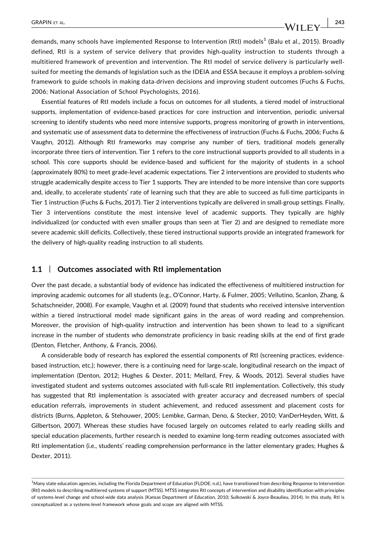demands, many schools have implemented Response to Intervention (RtI) models<sup>1</sup> (Balu et al., 2015). Broadly defined, RtI is a system of service delivery that provides high‐quality instruction to students through a multitiered framework of prevention and intervention. The RtI model of service delivery is particularly well‐ suited for meeting the demands of legislation such as the IDEIA and ESSA because it employs a problem‐solving framework to guide schools in making data-driven decisions and improving student outcomes (Fuchs & Fuchs, 2006; National Association of School Psychologists, 2016).

Essential features of RtI models include a focus on outcomes for all students, a tiered model of instructional supports, implementation of evidence‐based practices for core instruction and intervention, periodic universal screening to identify students who need more intensive supports, progress monitoring of growth in interventions, and systematic use of assessment data to determine the effectiveness of instruction (Fuchs & Fuchs, 2006; Fuchs & Vaughn, 2012). Although RtI frameworks may comprise any number of tiers, traditional models generally incorporate three tiers of intervention. Tier 1 refers to the core instructional supports provided to all students in a school. This core supports should be evidence‐based and sufficient for the majority of students in a school (approximately 80%) to meet grade‐level academic expectations. Tier 2 interventions are provided to students who struggle academically despite access to Tier 1 supports. They are intended to be more intensive than core supports and, ideally, to accelerate students' rate of learning such that they are able to succeed as full-time participants in Tier 1 instruction (Fuchs & Fuchs, 2017). Tier 2 interventions typically are delivered in small‐group settings. Finally, Tier 3 interventions constitute the most intensive level of academic supports. They typically are highly individualized (or conducted with even smaller groups than seen at Tier 2) and are designed to remediate more severe academic skill deficits. Collectively, these tiered instructional supports provide an integrated framework for the delivery of high‐quality reading instruction to all students.

#### 1.1 | Outcomes associated with RtI implementation

Over the past decade, a substantial body of evidence has indicated the effectiveness of multitiered instruction for improving academic outcomes for all students (e.g., O'Connor, Harty, & Fulmer, 2005; Vellutino, Scanlon, Zhang, & Schatschneider, 2008). For example, Vaughn et al. (2009) found that students who received intensive intervention within a tiered instructional model made significant gains in the areas of word reading and comprehension. Moreover, the provision of high-quality instruction and intervention has been shown to lead to a significant increase in the number of students who demonstrate proficiency in basic reading skills at the end of first grade (Denton, Fletcher, Anthony, & Francis, 2006).

A considerable body of research has explored the essential components of RtI (screening practices, evidence‐ based instruction, etc.); however, there is a continuing need for large-scale, longitudinal research on the impact of implementation (Denton, 2012; Hughes & Dexter, 2011; Mellard, Frey, & Woods, 2012). Several studies have investigated student and systems outcomes associated with full‐scale RtI implementation. Collectively, this study has suggested that RtI implementation is associated with greater accuracy and decreased numbers of special education referrals, improvements in student achievement, and reduced assessment and placement costs for districts (Burns, Appleton, & Stehouwer, 2005; Lembke, Garman, Deno, & Stecker, 2010; VanDerHeyden, Witt, & Gilbertson, 2007). Whereas these studies have focused largely on outcomes related to early reading skills and special education placements, further research is needed to examine long-term reading outcomes associated with RtI implementation (i.e., students' reading comprehension performance in the latter elementary grades; Hughes & Dexter, 2011).

<sup>&</sup>lt;sup>1</sup>Many state education agencies, including the Florida Department of Education (FLDOE; n.d.), have transitioned from describing Response to Intervention (Rtl) models to describing multitiered systems of support (MTSS). MTSS integrates RtI concepts of intervention and disability identification with principles of systems‐level change and school‐wide data analysis (Kansas Department of Education, 2010; Sulkowski & Joyce‐Beaulieu, 2014). In this study, RtI is conceptualized as a systems‐level framework whose goals and scope are aligned with MTSS.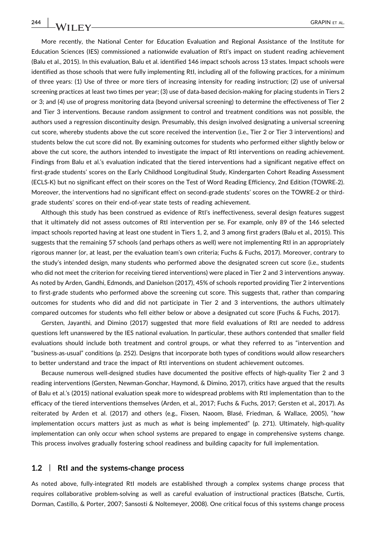More recently, the National Center for Education Evaluation and Regional Assistance of the Institute for Education Sciences (IES) commissioned a nationwide evaluation of RtI's impact on student reading achievement (Balu et al., 2015). In this evaluation, Balu et al. identified 146 impact schools across 13 states. Impact schools were identified as those schools that were fully implementing RtI, including all of the following practices, for a minimum of three years: (1) Use of three or more tiers of increasing intensity for reading instruction; (2) use of universal screening practices at least two times per year; (3) use of data-based decision-making for placing students in Tiers 2 or 3; and (4) use of progress monitoring data (beyond universal screening) to determine the effectiveness of Tier 2 and Tier 3 interventions. Because random assignment to control and treatment conditions was not possible, the authors used a regression discontinuity design. Presumably, this design involved designating a universal screening cut score, whereby students above the cut score received the intervention (i.e., Tier 2 or Tier 3 interventions) and students below the cut score did not. By examining outcomes for students who performed either slightly below or above the cut score, the authors intended to investigate the impact of RtI interventions on reading achievement. Findings from Balu et al.'s evaluation indicated that the tiered interventions had a significant negative effect on first-grade students' scores on the Early Childhood Longitudinal Study, Kindergarten Cohort Reading Assessment (ECLS‐K) but no significant effect on their scores on the Test of Word Reading Efficiency, 2nd Edition (TOWRE‐2). Moreover, the interventions had no significant effect on second‐grade students' scores on the TOWRE‐2 or third‐ grade students' scores on their end‐of‐year state tests of reading achievement.

Although this study has been construed as evidence of RtI's ineffectiveness, several design features suggest that it ultimately did not assess outcomes of RtI intervention per se. For example, only 89 of the 146 selected impact schools reported having at least one student in Tiers 1, 2, and 3 among first graders (Balu et al., 2015). This suggests that the remaining 57 schools (and perhaps others as well) were not implementing RtI in an appropriately rigorous manner (or, at least, per the evaluation team's own criteria; Fuchs & Fuchs, 2017). Moreover, contrary to the study's intended design, many students who performed above the designated screen cut score (i.e., students who did not meet the criterion for receiving tiered interventions) were placed in Tier 2 and 3 interventions anyway. As noted by Arden, Gandhi, Edmonds, and Danielson (2017), 45% of schools reported providing Tier 2 interventions to first‐grade students who performed above the screening cut score. This suggests that, rather than comparing outcomes for students who did and did not participate in Tier 2 and 3 interventions, the authors ultimately compared outcomes for students who fell either below or above a designated cut score (Fuchs & Fuchs, 2017).

Gersten, Jayanthi, and Dimino (2017) suggested that more field evaluations of RtI are needed to address questions left unanswered by the IES national evaluation. In particular, these authors contended that smaller field evaluations should include both treatment and control groups, or what they referred to as "intervention and "business‐as‐usual" conditions (p. 252). Designs that incorporate both types of conditions would allow researchers to better understand and trace the impact of RtI interventions on student achievement outcomes.

Because numerous well-designed studies have documented the positive effects of high-quality Tier 2 and 3 reading interventions (Gersten, Newman‐Gonchar, Haymond, & Dimino, 2017), critics have argued that the results of Balu et al.'s (2015) national evaluation speak more to widespread problems with RtI implementation than to the efficacy of the tiered interventions themselves (Arden, et al., 2017; Fuchs & Fuchs, 2017; Gersten et al., 2017). As reiterated by Arden et al. (2017) and others (e.g., Fixsen, Naoom, Blasé, Friedman, & Wallace, 2005), "how implementation occurs matters just as much as what is being implemented" (p. 271). Ultimately, high-quality implementation can only occur when school systems are prepared to engage in comprehensive systems change. This process involves gradually fostering school readiness and building capacity for full implementation.

#### 1.2 | Rtl and the systems-change process

As noted above, fully‐integrated RtI models are established through a complex systems change process that requires collaborative problem‐solving as well as careful evaluation of instructional practices (Batsche, Curtis, Dorman, Castillo, & Porter, 2007; Sansosti & Noltemeyer, 2008). One critical focus of this systems change process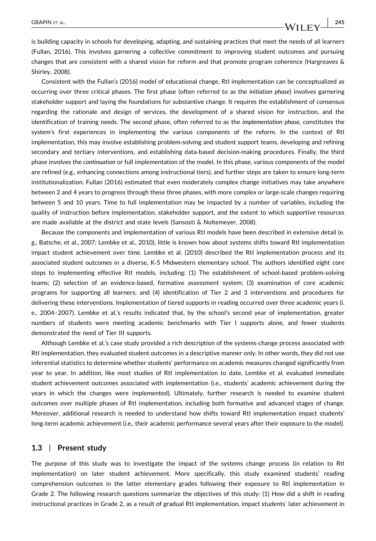is building capacity in schools for developing, adapting, and sustaining practices that meet the needs of all learners (Fullan, 2016). This involves garnering a collective commitment to improving student outcomes and pursuing changes that are consistent with a shared vision for reform and that promote program coherence (Hargreaves & Shirley, 2008).

Consistent with the Fullan's (2016) model of educational change, RtI implementation can be conceptualized as occurring over three critical phases. The first phase (often referred to as the initiation phase) involves garnering stakeholder support and laying the foundations for substantive change. It requires the establishment of consensus regarding the rationale and design of services, the development of a shared vision for instruction, and the identification of training needs. The second phase, often referred to as the implementation phase, constitutes the system's first experiences in implementing the various components of the reform. In the context of RtI implementation, this may involve establishing problem‐solving and student support teams, developing and refining secondary and tertiary interventions, and establishing data-based decision-making procedures. Finally, the third phase involves the continuation or full implementation of the model. In this phase, various components of the model are refined (e.g., enhancing connections among instructional tiers), and further steps are taken to ensure long‐term institutionalization. Fullan (2016) estimated that even moderately complex change initiatives may take anywhere between 2 and 4 years to progress through these three phases, with more complex or large-scale changes requiring between 5 and 10 years. Time to full implementation may be impacted by a number of variables, including the quality of instruction before implementation, stakeholder support, and the extent to which supportive resources are made available at the district and state levels (Sansosti & Noltemeyer, 2008).

Because the components and implementation of various RtI models have been described in extensive detail (e. g., Batsche, et al., 2007; Lembke et al., 2010), little is known how about systems shifts toward RtI implementation impact student achievement over time. Lembke et al. (2010) described the RtI implementation process and its associated student outcomes in a diverse, K‐5 Midwestern elementary school. The authors identified eight core steps to implementing effective RtI models, including: (1) The establishment of school-based problem-solving teams; (2) selection of an evidence‐based, formative assessment system; (3) examination of core academic programs for supporting all learners; and (4) identification of Tier 2 and 3 interventions and procedures for delivering these interventions. Implementation of tiered supports in reading occurred over three academic years (i. e., 2004–2007). Lembke et al.'s results indicated that, by the school's second year of implementation, greater numbers of students were meeting academic benchmarks with Tier I supports alone, and fewer students demonstrated the need of Tier III supports.

Although Lembke et al.'s case study provided a rich description of the systems‐change process associated with RtI implementation, they evaluated student outcomes in a descriptive manner only. In other words, they did not use inferential statistics to determine whether students' performance on academic measures changed significantly from year to year. In addition, like most studies of RtI implementation to date, Lembke et al. evaluated immediate student achievement outcomes associated with implementation (i.e., students' academic achievement during the years in which the changes were implemented). Ultimately, further research is needed to examine student outcomes over multiple phases of RtI implementation, including both formative and advanced stages of change. Moreover, additional research is needed to understand how shifts toward RtI implementation impact students' long‐term academic achievement (i.e., their academic performance several years after their exposure to the model).

#### 1.3 | Present study

The purpose of this study was to investigate the impact of the systems change process (in relation to RtI implementation) on later student achievement. More specifically, this study examined students' reading comprehension outcomes in the latter elementary grades following their exposure to RtI implementation in Grade 2. The following research questions summarize the objectives of this study: (1) How did a shift in reading instructional practices in Grade 2, as a result of gradual RtI implementation, impact students' later achievement in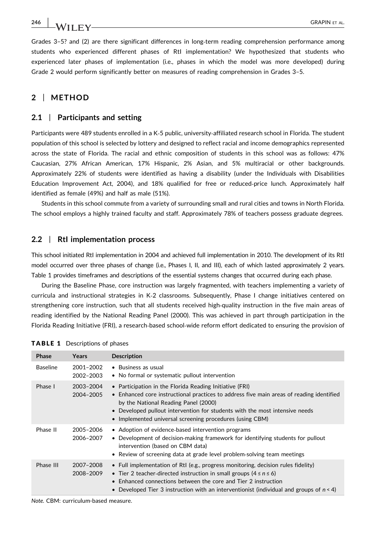WII FY————————————————————————————————GRAPIN ET AL.

Grades 3–5? and (2) are there significant differences in long‐term reading comprehension performance among students who experienced different phases of RtI implementation? We hypothesized that students who experienced later phases of implementation (i.e., phases in which the model was more developed) during Grade 2 would perform significantly better on measures of reading comprehension in Grades 3–5.

## 2 | METHOD

#### 2.1 | Participants and setting

Participants were 489 students enrolled in a K-5 public, university-affiliated research school in Florida. The student population of this school is selected by lottery and designed to reflect racial and income demographics represented across the state of Florida. The racial and ethnic composition of students in this school was as follows: 47% Caucasian, 27% African American, 17% Hispanic, 2% Asian, and 5% multiracial or other backgrounds. Approximately 22% of students were identified as having a disability (under the Individuals with Disabilities Education Improvement Act, 2004), and 18% qualified for free or reduced‐price lunch. Approximately half identified as female (49%) and half as male (51%).

Students in this school commute from a variety of surrounding small and rural cities and towns in North Florida. The school employs a highly trained faculty and staff. Approximately 78% of teachers possess graduate degrees.

#### 2.2 | RtI implementation process

This school initiated RtI implementation in 2004 and achieved full implementation in 2010. The development of its RtI model occurred over three phases of change (i.e., Phases I, II, and III), each of which lasted approximately 2 years. Table 1 provides timeframes and descriptions of the essential systems changes that occurred during each phase.

During the Baseline Phase, core instruction was largely fragmented, with teachers implementing a variety of curricula and instructional strategies in K‐2 classrooms. Subsequently, Phase I change initiatives centered on strengthening core instruction, such that all students received high‐quality instruction in the five main areas of reading identified by the National Reading Panel (2000). This was achieved in part through participation in the Florida Reading Initiative (FRI), a research‐based school‐wide reform effort dedicated to ensuring the provision of

| Phase           | Years                  | <b>Description</b>                                                                                                                                                                                                                                                                                                                              |
|-----------------|------------------------|-------------------------------------------------------------------------------------------------------------------------------------------------------------------------------------------------------------------------------------------------------------------------------------------------------------------------------------------------|
| <b>Baseline</b> | 2001-2002<br>2002-2003 | • Business as usual<br>• No formal or systematic pullout intervention                                                                                                                                                                                                                                                                           |
| Phase I         | 2003-2004<br>2004-2005 | • Participation in the Florida Reading Initiative (FRI)<br>• Enhanced core instructional practices to address five main areas of reading identified<br>by the National Reading Panel (2000)<br>• Developed pullout intervention for students with the most intensive needs<br>• Implemented universal screening procedures (using CBM)          |
| Phase II        | 2005-2006<br>2006-2007 | • Adoption of evidence-based intervention programs<br>• Development of decision-making framework for identifying students for pullout<br>intervention (based on CBM data)<br>• Review of screening data at grade level problem-solving team meetings                                                                                            |
| Phase III       | 2007-2008<br>2008-2009 | • Full implementation of RtI (e.g., progress monitoring, decision rules fidelity)<br>• Tier 2 teacher-directed instruction in small groups $(4 \le n \le 6)$<br>$\bullet$ Enhanced connections between the core and Tier 2 instruction<br>Developed Tier 3 instruction with an interventionist (individual and groups of $n < 4$ )<br>$\bullet$ |

|  |  |  |  |  |  | <b>TABLE 1</b> Descriptions of phases |  |  |
|--|--|--|--|--|--|---------------------------------------|--|--|
|--|--|--|--|--|--|---------------------------------------|--|--|

Note. CBM: curriculum-based measure.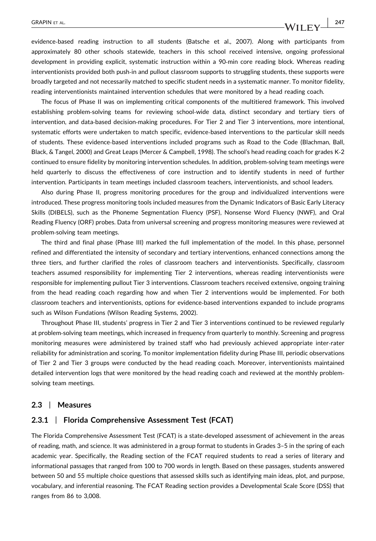evidence‐based reading instruction to all students (Batsche et al., 2007). Along with participants from approximately 80 other schools statewide, teachers in this school received intensive, ongoing professional development in providing explicit, systematic instruction within a 90-min core reading block. Whereas reading interventionists provided both push‐in and pullout classroom supports to struggling students, these supports were broadly targeted and not necessarily matched to specific student needs in a systematic manner. To monitor fidelity, reading interventionists maintained intervention schedules that were monitored by a head reading coach.

The focus of Phase II was on implementing critical components of the multitiered framework. This involved establishing problem‐solving teams for reviewing school‐wide data, distinct secondary and tertiary tiers of intervention, and data‐based decision‐making procedures. For Tier 2 and Tier 3 interventions, more intentional, systematic efforts were undertaken to match specific, evidence-based interventions to the particular skill needs of students. These evidence‐based interventions included programs such as Road to the Code (Blachman, Ball, Black, & Tangel, 2000) and Great Leaps (Mercer & Campbell, 1998). The school's head reading coach for grades K‐2 continued to ensure fidelity by monitoring intervention schedules. In addition, problem‐solving team meetings were held quarterly to discuss the effectiveness of core instruction and to identify students in need of further intervention. Participants in team meetings included classroom teachers, interventionists, and school leaders.

Also during Phase II, progress monitoring procedures for the group and individualized interventions were introduced. These progress monitoring tools included measures from the Dynamic Indicators of Basic Early Literacy Skills (DIBELS), such as the Phoneme Segmentation Fluency (PSF), Nonsense Word Fluency (NWF), and Oral Reading Fluency (ORF) probes. Data from universal screening and progress monitoring measures were reviewed at problem‐solving team meetings.

The third and final phase (Phase III) marked the full implementation of the model. In this phase, personnel refined and differentiated the intensity of secondary and tertiary interventions, enhanced connections among the three tiers, and further clarified the roles of classroom teachers and interventionists. Specifically, classroom teachers assumed responsibility for implementing Tier 2 interventions, whereas reading interventionists were responsible for implementing pullout Tier 3 interventions. Classroom teachers received extensive, ongoing training from the head reading coach regarding how and when Tier 2 interventions would be implemented. For both classroom teachers and interventionists, options for evidence‐based interventions expanded to include programs such as Wilson Fundations (Wilson Reading Systems, 2002).

Throughout Phase III, students' progress in Tier 2 and Tier 3 interventions continued to be reviewed regularly at problem‐solving team meetings, which increased in frequency from quarterly to monthly. Screening and progress monitoring measures were administered by trained staff who had previously achieved appropriate inter-rater reliability for administration and scoring. To monitor implementation fidelity during Phase III, periodic observations of Tier 2 and Tier 3 groups were conducted by the head reading coach. Moreover, interventionists maintained detailed intervention logs that were monitored by the head reading coach and reviewed at the monthly problemsolving team meetings.

#### 2.3 | Measures

#### 2.3.1 | Florida Comprehensive Assessment Test (FCAT)

The Florida Comprehensive Assessment Test (FCAT) is a state‐developed assessment of achievement in the areas of reading, math, and science. It was administered in a group format to students in Grades 3–5 in the spring of each academic year. Specifically, the Reading section of the FCAT required students to read a series of literary and informational passages that ranged from 100 to 700 words in length. Based on these passages, students answered between 50 and 55 multiple choice questions that assessed skills such as identifying main ideas, plot, and purpose, vocabulary, and inferential reasoning. The FCAT Reading section provides a Developmental Scale Score (DSS) that ranges from 86 to 3,008.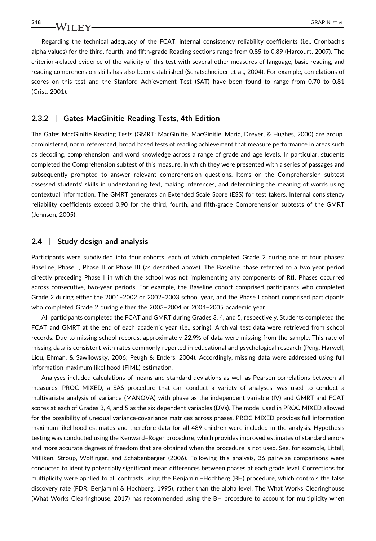Regarding the technical adequacy of the FCAT, internal consistency reliability coefficients (i.e., Cronbach's alpha values) for the third, fourth, and fifth‐grade Reading sections range from 0.85 to 0.89 (Harcourt, 2007). The criterion-related evidence of the validity of this test with several other measures of language, basic reading, and reading comprehension skills has also been established (Schatschneider et al., 2004). For example, correlations of scores on this test and the Stanford Achievement Test (SAT) have been found to range from 0.70 to 0.81 (Crist, 2001).

#### 2.3.2 | Gates MacGinitie Reading Tests, 4th Edition

The Gates MacGinitie Reading Tests (GMRT; MacGinitie, MacGinitie, Maria, Dreyer, & Hughes, 2000) are group‐ administered, norm‐referenced, broad‐based tests of reading achievement that measure performance in areas such as decoding, comprehension, and word knowledge across a range of grade and age levels. In particular, students completed the Comprehension subtest of this measure, in which they were presented with a series of passages and subsequently prompted to answer relevant comprehension questions. Items on the Comprehension subtest assessed students' skills in understanding text, making inferences, and determining the meaning of words using contextual information. The GMRT generates an Extended Scale Score (ESS) for test takers. Internal consistency reliability coefficients exceed 0.90 for the third, fourth, and fifth‐grade Comprehension subtests of the GMRT (Johnson, 2005).

### 2.4 | Study design and analysis

Participants were subdivided into four cohorts, each of which completed Grade 2 during one of four phases: Baseline, Phase I, Phase II or Phase III (as described above). The Baseline phase referred to a two‐year period directly preceding Phase I in which the school was not implementing any components of RtI. Phases occurred across consecutive, two‐year periods. For example, the Baseline cohort comprised participants who completed Grade 2 during either the 2001–2002 or 2002–2003 school year, and the Phase I cohort comprised participants who completed Grade 2 during either the 2003–2004 or 2004–2005 academic year.

All participants completed the FCAT and GMRT during Grades 3, 4, and 5, respectively. Students completed the FCAT and GMRT at the end of each academic year (i.e., spring). Archival test data were retrieved from school records. Due to missing school records, approximately 22.9% of data were missing from the sample. This rate of missing data is consistent with rates commonly reported in educational and psychological research (Peng, Harwell, Liou, Ehman, & Sawilowsky, 2006; Peugh & Enders, 2004). Accordingly, missing data were addressed using full information maximum likelihood (FIML) estimation.

Analyses included calculations of means and standard deviations as well as Pearson correlations between all measures. PROC MIXED, a SAS procedure that can conduct a variety of analyses, was used to conduct a multivariate analysis of variance (MANOVA) with phase as the independent variable (IV) and GMRT and FCAT scores at each of Grades 3, 4, and 5 as the six dependent variables (DVs). The model used in PROC MIXED allowed for the possibility of unequal variance-covariance matrices across phases. PROC MIXED provides full information maximum likelihood estimates and therefore data for all 489 children were included in the analysis. Hypothesis testing was conducted using the Kenward–Roger procedure, which provides improved estimates of standard errors and more accurate degrees of freedom that are obtained when the procedure is not used. See, for example, Littell, Milliken, Stroup, Wolfinger, and Schabenberger (2006). Following this analysis, 36 pairwise comparisons were conducted to identify potentially significant mean differences between phases at each grade level. Corrections for multiplicity were applied to all contrasts using the Benjamini–Hochberg (BH) procedure, which controls the false discovery rate (FDR; Benjamini & Hochberg, 1995), rather than the alpha level. The What Works Clearinghouse (What Works Clearinghouse, 2017) has recommended using the BH procedure to account for multiplicity when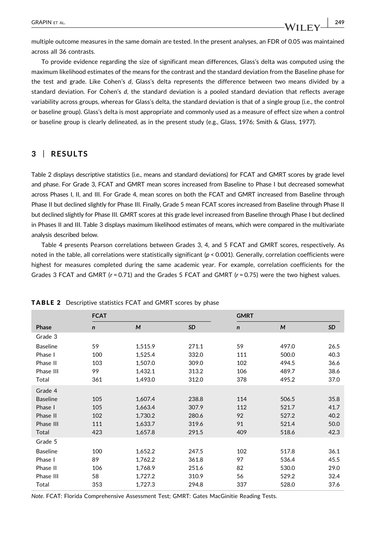multiple outcome measures in the same domain are tested. In the present analyses, an FDR of 0.05 was maintained across all 36 contrasts.

To provide evidence regarding the size of significant mean differences, Glass's delta was computed using the maximum likelihood estimates of the means for the contrast and the standard deviation from the Baseline phase for the test and grade. Like Cohen's d, Glass's delta represents the difference between two means divided by a standard deviation. For Cohen's d, the standard deviation is a pooled standard deviation that reflects average variability across groups, whereas for Glass's delta, the standard deviation is that of a single group (i.e., the control or baseline group). Glass's delta is most appropriate and commonly used as a measure of effect size when a control or baseline group is clearly delineated, as in the present study (e.g., Glass, 1976; Smith & Glass, 1977).

## 3 | RESULTS

Table 2 displays descriptive statistics (i.e., means and standard deviations) for FCAT and GMRT scores by grade level and phase. For Grade 3, FCAT and GMRT mean scores increased from Baseline to Phase I but decreased somewhat across Phases I, II, and III. For Grade 4, mean scores on both the FCAT and GMRT increased from Baseline through Phase II but declined slightly for Phase III. Finally, Grade 5 mean FCAT scores increased from Baseline through Phase II but declined slightly for Phase III. GMRT scores at this grade level increased from Baseline through Phase I but declined in Phases II and III. Table 3 displays maximum likelihood estimates of means, which were compared in the multivariate analysis described below.

Table 4 presents Pearson correlations between Grades 3, 4, and 5 FCAT and GMRT scores, respectively. As noted in the table, all correlations were statistically significant  $(p < 0.001)$ . Generally, correlation coefficients were highest for measures completed during the same academic year. For example, correlation coefficients for the Grades 3 FCAT and GMRT ( $r = 0.71$ ) and the Grades 5 FCAT and GMRT ( $r = 0.75$ ) were the two highest values.

|                 | <b>FCAT</b> |         |           | <b>GMRT</b> |       |      |  |
|-----------------|-------------|---------|-----------|-------------|-------|------|--|
| Phase           | $\mathbf n$ | M       | <b>SD</b> | $\mathbf n$ | M     | SD   |  |
| Grade 3         |             |         |           |             |       |      |  |
| <b>Baseline</b> | 59          | 1,515.9 | 271.1     | 59          | 497.0 | 26.5 |  |
| Phase I         | 100         | 1,525.4 | 332.0     | 111         | 500.0 | 40.3 |  |
| Phase II        | 103         | 1,507.0 | 309.0     | 102         | 494.5 | 36.6 |  |
| Phase III       | 99          | 1,432.1 | 313.2     | 106         | 489.7 | 38.6 |  |
| Total           | 361         | 1,493.0 | 312.0     | 378         | 495.2 | 37.0 |  |
| Grade 4         |             |         |           |             |       |      |  |
| <b>Baseline</b> | 105         | 1,607.4 | 238.8     | 114         | 506.5 | 35.8 |  |
| Phase I         | 105         | 1,663.4 | 307.9     | 112         | 521.7 | 41.7 |  |
| Phase II        | 102         | 1,730.2 | 280.6     | 92          | 527.2 | 40.2 |  |
| Phase III       | 111         | 1,633.7 | 319.6     | 91          | 521.4 | 50.0 |  |
| Total           | 423         | 1,657.8 | 291.5     | 409         | 518.6 | 42.3 |  |
| Grade 5         |             |         |           |             |       |      |  |
| <b>Baseline</b> | 100         | 1,652.2 | 247.5     | 102         | 517.8 | 36.1 |  |
| Phase I         | 89          | 1,762.2 | 361.8     | 97          | 536.4 | 45.5 |  |
| Phase II        | 106         | 1,768.9 | 251.6     | 82          | 530.0 | 29.0 |  |
| Phase III       | 58          | 1,727.2 | 310.9     | 56          | 529.2 | 32.4 |  |
| Total           | 353         | 1,727.3 | 294.8     | 337         | 528.0 | 37.6 |  |

TABLE 2 Descriptive statistics FCAT and GMRT scores by phase

Note. FCAT: Florida Comprehensive Assessment Test; GMRT: Gates MacGinitie Reading Tests.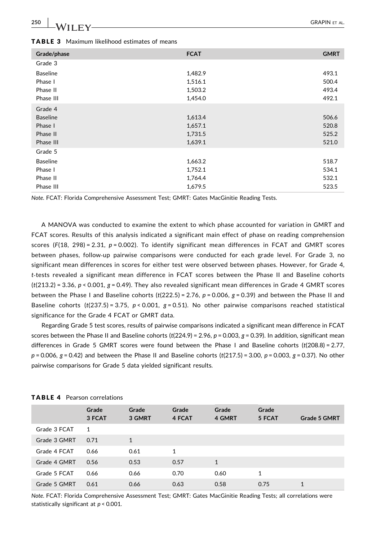| Grade/phase     | <b>FCAT</b> | <b>GMRT</b> |
|-----------------|-------------|-------------|
| Grade 3         |             |             |
| <b>Baseline</b> | 1,482.9     | 493.1       |
| Phase I         | 1,516.1     | 500.4       |
| Phase II        | 1,503.2     | 493.4       |
| Phase III       | 1,454.0     | 492.1       |
| Grade 4         |             |             |
| <b>Baseline</b> | 1,613.4     | 506.6       |
| Phase I         | 1,657.1     | 520.8       |
| Phase II        | 1,731.5     | 525.2       |
| Phase III       | 1,639.1     | 521.0       |
| Grade 5         |             |             |
| <b>Baseline</b> | 1,663.2     | 518.7       |
| Phase I         | 1,752.1     | 534.1       |
| Phase II        | 1,764.4     | 532.1       |
| Phase III       | 1,679.5     | 523.5       |

TABLE 3 Maximum likelihood estimates of means

Note. FCAT: Florida Comprehensive Assessment Test; GMRT: Gates MacGinitie Reading Tests.

A MANOVA was conducted to examine the extent to which phase accounted for variation in GMRT and FCAT scores. Results of this analysis indicated a significant main effect of phase on reading comprehension scores ( $F(18, 298) = 2.31$ ,  $p = 0.002$ ). To identify significant mean differences in FCAT and GMRT scores between phases, follow‐up pairwise comparisons were conducted for each grade level. For Grade 3, no significant mean differences in scores for either test were observed between phases. However, for Grade 4, t‐tests revealed a significant mean difference in FCAT scores between the Phase II and Baseline cohorts  $(t(213.2) = 3.36, p < 0.001, g = 0.49)$ . They also revealed significant mean differences in Grade 4 GMRT scores between the Phase I and Baseline cohorts  $(t(222.5) = 2.76, p = 0.006, g = 0.39)$  and between the Phase II and Baseline cohorts (t(237.5) = 3.75, p < 0.001, g = 0.51). No other pairwise comparisons reached statistical significance for the Grade 4 FCAT or GMRT data.

Regarding Grade 5 test scores, results of pairwise comparisons indicated a significant mean difference in FCAT scores between the Phase II and Baseline cohorts (t(224.9) = 2.96,  $p$  = 0.003,  $g$  = 0.39). In addition, significant mean differences in Grade 5 GMRT scores were found between the Phase I and Baseline cohorts (t(208.8) = 2.77,  $p = 0.006$ ,  $q = 0.42$ ) and between the Phase II and Baseline cohorts (t(217.5) = 3.00,  $p = 0.003$ ,  $q = 0.37$ ). No other pairwise comparisons for Grade 5 data yielded significant results.

|              | Grade<br>3 FCAT | Grade<br>3 GMRT | Grade<br>4 FCAT | Grade<br>4 GMRT | Grade<br>5 FCAT | Grade 5 GMRT |
|--------------|-----------------|-----------------|-----------------|-----------------|-----------------|--------------|
| Grade 3 FCAT | 1               |                 |                 |                 |                 |              |
| Grade 3 GMRT | 0.71            | $\mathbf{1}$    |                 |                 |                 |              |
| Grade 4 FCAT | 0.66            | 0.61            | 1               |                 |                 |              |
| Grade 4 GMRT | 0.56            | 0.53            | 0.57            | $\mathbf{1}$    |                 |              |
| Grade 5 FCAT | 0.66            | 0.66            | 0.70            | 0.60            | 1               |              |
| Grade 5 GMRT | 0.61            | 0.66            | 0.63            | 0.58            | 0.75            | 1            |

TABLE 4 Pearson correlations

Note. FCAT: Florida Comprehensive Assessment Test; GMRT: Gates MacGinitie Reading Tests; all correlations were statistically significant at  $p < 0.001$ .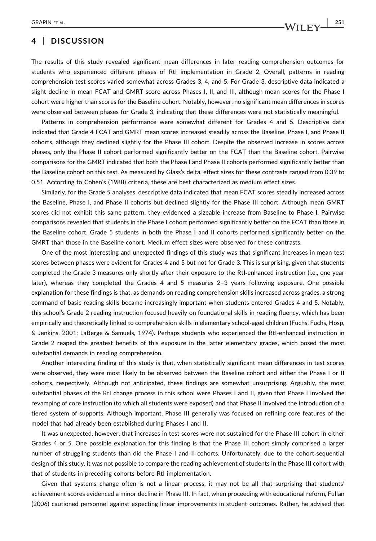## 4 | DISCUSSION

The results of this study revealed significant mean differences in later reading comprehension outcomes for students who experienced different phases of RtI implementation in Grade 2. Overall, patterns in reading comprehension test scores varied somewhat across Grades 3, 4, and 5. For Grade 3, descriptive data indicated a slight decline in mean FCAT and GMRT score across Phases I, II, and III, although mean scores for the Phase I cohort were higher than scores for the Baseline cohort. Notably, however, no significant mean differences in scores were observed between phases for Grade 3, indicating that these differences were not statistically meaningful.

Patterns in comprehension performance were somewhat different for Grades 4 and 5. Descriptive data indicated that Grade 4 FCAT and GMRT mean scores increased steadily across the Baseline, Phase I, and Phase II cohorts, although they declined slightly for the Phase III cohort. Despite the observed increase in scores across phases, only the Phase II cohort performed significantly better on the FCAT than the Baseline cohort. Pairwise comparisons for the GMRT indicated that both the Phase I and Phase II cohorts performed significantly better than the Baseline cohort on this test. As measured by Glass's delta, effect sizes for these contrasts ranged from 0.39 to 0.51. According to Cohen's (1988) criteria, these are best characterized as medium effect sizes.

Similarly, for the Grade 5 analyses, descriptive data indicated that mean FCAT scores steadily increased across the Baseline, Phase I, and Phase II cohorts but declined slightly for the Phase III cohort. Although mean GMRT scores did not exhibit this same pattern, they evidenced a sizeable increase from Baseline to Phase I. Pairwise comparisons revealed that students in the Phase I cohort performed significantly better on the FCAT than those in the Baseline cohort. Grade 5 students in both the Phase I and II cohorts performed significantly better on the GMRT than those in the Baseline cohort. Medium effect sizes were observed for these contrasts.

One of the most interesting and unexpected findings of this study was that significant increases in mean test scores between phases were evident for Grades 4 and 5 but not for Grade 3. This is surprising, given that students completed the Grade 3 measures only shortly after their exposure to the RtI‐enhanced instruction (i.e., one year later), whereas they completed the Grades 4 and 5 measures 2–3 years following exposure. One possible explanation for these findings is that, as demands on reading comprehension skills increased across grades, a strong command of basic reading skills became increasingly important when students entered Grades 4 and 5. Notably, this school's Grade 2 reading instruction focused heavily on foundational skills in reading fluency, which has been empirically and theoretically linked to comprehension skills in elementary school-aged children (Fuchs, Fuchs, Hosp, & Jenkins, 2001; LaBerge & Samuels, 1974). Perhaps students who experienced the RtI‐enhanced instruction in Grade 2 reaped the greatest benefits of this exposure in the latter elementary grades, which posed the most substantial demands in reading comprehension.

Another interesting finding of this study is that, when statistically significant mean differences in test scores were observed, they were most likely to be observed between the Baseline cohort and either the Phase I or II cohorts, respectively. Although not anticipated, these findings are somewhat unsurprising. Arguably, the most substantial phases of the RtI change process in this school were Phases I and II, given that Phase I involved the revamping of core instruction (to which all students were exposed) and that Phase II involved the introduction of a tiered system of supports. Although important, Phase III generally was focused on refining core features of the model that had already been established during Phases I and II.

It was unexpected, however, that increases in test scores were not sustained for the Phase III cohort in either Grades 4 or 5. One possible explanation for this finding is that the Phase III cohort simply comprised a larger number of struggling students than did the Phase I and II cohorts. Unfortunately, due to the cohort‐sequential design of this study, it was not possible to compare the reading achievement of students in the Phase III cohort with that of students in preceding cohorts before RtI implementation.

Given that systems change often is not a linear process, it may not be all that surprising that students' achievement scores evidenced a minor decline in Phase III. In fact, when proceeding with educational reform, Fullan (2006) cautioned personnel against expecting linear improvements in student outcomes. Rather, he advised that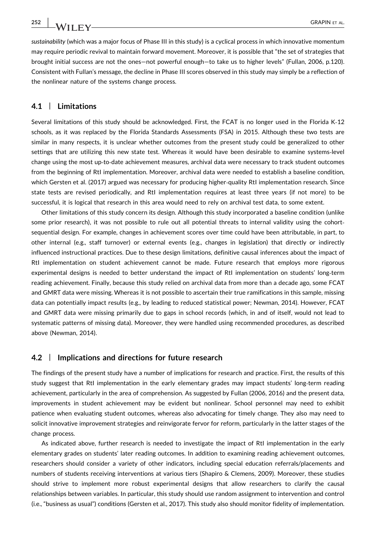sustainability (which was a major focus of Phase III in this study) is a cyclical process in which innovative momentum may require periodic revival to maintain forward movement. Moreover, it is possible that "the set of strategies that brought initial success are not the ones—not powerful enough—to take us to higher levels" (Fullan, 2006, p.120). Consistent with Fullan's message, the decline in Phase III scores observed in this study may simply be a reflection of the nonlinear nature of the systems change process.

#### 4.1 | Limitations

Several limitations of this study should be acknowledged. First, the FCAT is no longer used in the Florida K‐12 schools, as it was replaced by the Florida Standards Assessments (FSA) in 2015. Although these two tests are similar in many respects, it is unclear whether outcomes from the present study could be generalized to other settings that are utilizing this new state test. Whereas it would have been desirable to examine systems‐level change using the most up‐to‐date achievement measures, archival data were necessary to track student outcomes from the beginning of RtI implementation. Moreover, archival data were needed to establish a baseline condition, which Gersten et al. (2017) argued was necessary for producing higher-quality RtI implementation research. Since state tests are revised periodically, and RtI implementation requires at least three years (if not more) to be successful, it is logical that research in this area would need to rely on archival test data, to some extent.

Other limitations of this study concern its design. Although this study incorporated a baseline condition (unlike some prior research), it was not possible to rule out all potential threats to internal validity using the cohortsequential design. For example, changes in achievement scores over time could have been attributable, in part, to other internal (e.g., staff turnover) or external events (e.g., changes in legislation) that directly or indirectly influenced instructional practices. Due to these design limitations, definitive causal inferences about the impact of RtI implementation on student achievement cannot be made. Future research that employs more rigorous experimental designs is needed to better understand the impact of RtI implementation on students' long-term reading achievement. Finally, because this study relied on archival data from more than a decade ago, some FCAT and GMRT data were missing. Whereas it is not possible to ascertain their true ramifications in this sample, missing data can potentially impact results (e.g., by leading to reduced statistical power; Newman, 2014). However, FCAT and GMRT data were missing primarily due to gaps in school records (which, in and of itself, would not lead to systematic patterns of missing data). Moreover, they were handled using recommended procedures, as described above (Newman, 2014).

#### 4.2 | Implications and directions for future research

The findings of the present study have a number of implications for research and practice. First, the results of this study suggest that RtI implementation in the early elementary grades may impact students' long‐term reading achievement, particularly in the area of comprehension. As suggested by Fullan (2006, 2016) and the present data, improvements in student achievement may be evident but nonlinear. School personnel may need to exhibit patience when evaluating student outcomes, whereas also advocating for timely change. They also may need to solicit innovative improvement strategies and reinvigorate fervor for reform, particularly in the latter stages of the change process.

As indicated above, further research is needed to investigate the impact of RtI implementation in the early elementary grades on students' later reading outcomes. In addition to examining reading achievement outcomes, researchers should consider a variety of other indicators, including special education referrals/placements and numbers of students receiving interventions at various tiers (Shapiro & Clemens, 2009). Moreover, these studies should strive to implement more robust experimental designs that allow researchers to clarify the causal relationships between variables. In particular, this study should use random assignment to intervention and control (i.e., "business as usual") conditions (Gersten et al., 2017). This study also should monitor fidelity of implementation.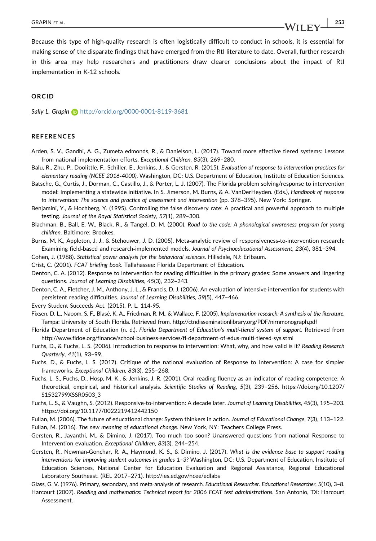Because this type of high-quality research is often logistically difficult to conduct in schools, it is essential for making sense of the disparate findings that have emerged from the RtI literature to date. Overall, further research in this area may help researchers and practitioners draw clearer conclusions about the impact of RtI implementation in K‐12 schools.

#### ORCID

Sally L. Grapin **b** <http://orcid.org/0000-0001-8119-3681>

#### **REFERENCES**

- Arden, S. V., Gandhi, A. G., Zumeta edmonds, R., & Danielson, L. (2017). Toward more effective tiered systems: Lessons from national implementation efforts. Exceptional Children, 83(3), 269–280.
- Balu, R., Zhu, P., Doolittle, F., Schiller, E., Jenkins, J., & Gersten, R. (2015). Evaluation of response to intervention practices for elementary reading (NCEE 2016‐4000). Washington, DC: U.S. Department of Education, Institute of Education Sciences.
- Batsche, G., Curtis, J., Dorman, C., Castillo, J., & Porter, L. J. (2007). The Florida problem solving/response to intervention model: Implementing a statewide initiative. In S. Jimerson, M. Burns, & A. VanDerHeyden. (Eds.), Handbook of response to intervention: The science and practice of assessment and intervention (pp. 378–395). New York: Springer.
- Benjamini, Y., & Hochberg, Y. (1995). Controlling the false discovery rate: A practical and powerful approach to multiple testing. Journal of the Royal Statistical Society, 57(1), 289–300.
- Blachman, B., Ball, E. W., Black, R., & Tangel, D. M. (2000). Road to the code: A phonological awareness program for young children. Baltimore: Brookes.
- Burns, M. K., Appleton, J. J., & Stehouwer, J. D. (2005). Meta‐analytic review of responsiveness‐to‐intervention research: Examining field‐based and research‐implemented models. Journal of Psychoeducational Assessment, 23(4), 381–394.

Cohen, J. (1988). Statistical power analysis for the behavioral sciences. Hillsdale, NJ: Erlbaum.

Crist, C. (2001). FCAT briefing book. Tallahassee: Florida Department of Education.

- Denton, C. A. (2012). Response to intervention for reading difficulties in the primary grades: Some answers and lingering questions. Journal of Learning Disabilities, 45(3), 232–243.
- Denton, C. A., Fletcher, J. M., Anthony, J. L., & Francis, D. J. (2006). An evaluation of intensive intervention for students with persistent reading difficulties. Journal of Learning Disabilities, 39(5), 447–466.

Every Student Succeeds Act. (2015). P. L. 114‐95.

- Fixsen, D. L., Naoom, S. F., Blasé, K. A., Friedman, R. M., & Wallace, F. (2005). Implementation research: A synthesis of the literature. Tampa: University of South Florida. Retrieved from.<http://ctndisseminationlibrary.org/PDF/nirnmonograph.pdf>
- Florida Department of Education (n. d.). Florida Department of Education's multi‐tiered system of support. Retrieved from [http://www.fldoe.org/finance/school](http://www.fldoe.org/finance/school-business-services/fl-department-of-edus-multi-tiered-sys.stml)‐business‐services/fl‐department‐of‐edus‐multi‐tiered‐sys.stml
- Fuchs, D., & Fuchs, L. S. (2006). Introduction to response to intervention: What, why, and how valid is it? Reading Research Quarterly, 41(1), 93–99.
- Fuchs, D., & Fuchs, L. S. (2017). Critique of the national evaluation of Response to Intervention: A case for simpler frameworks. Exceptional Children, 83(3), 255–268.
- Fuchs, L. S., Fuchs, D., Hosp, M. K., & Jenkins, J. R. (2001). Oral reading fluency as an indicator of reading competence: A theoretical, empirical, and historical analysis. Scientific Studies of Reading, 5(3), 239–256. [https://doi.org/10.1207/](https://doi.org/10.1207/S1532799XSSR0503_3) [S1532799XSSR0503\\_3](https://doi.org/10.1207/S1532799XSSR0503_3)
- Fuchs, L. S., & Vaughn, S. (2012). Responsive‐to‐intervention: A decade later. Journal of Learning Disabilities, 45(3), 195–203. <https://doi.org/10.1177/0022219412442150>
- Fullan, M. (2006). The future of educational change: System thinkers in action. Journal of Educational Change, 7(3), 113–122.
- Fullan, M. (2016). The new meaning of educational change. New York, NY: Teachers College Press.
- Gersten, R., Jayanthi, M., & Dimino, J. (2017). Too much too soon? Unanswered questions from national Response to Intervention evaluation. Exceptional Children, 83(3), 244–254.
- Gersten, R., Newman‐Gonchar, R. A., Haymond, K. S., & Dimino, J. (2017). What is the evidence base to support reading interventions for improving student outcomes in grades 1–3? Washington, DC: U.S. Department of Education, Institute of Education Sciences, National Center for Education Evaluation and Regional Assistance, Regional Educational Laboratory Southeast. (REL 2017–271).<http://ies.ed.gov/ncee/edlabs>

Glass, G. V. (1976). Primary, secondary, and meta‐analysis of research. Educational Researcher. Educational Researcher, 5(10), 3–8.

Harcourt (2007). Reading and mathematics: Technical report for 2006 FCAT test administrations. San Antonio, TX: Harcourt Assessment.